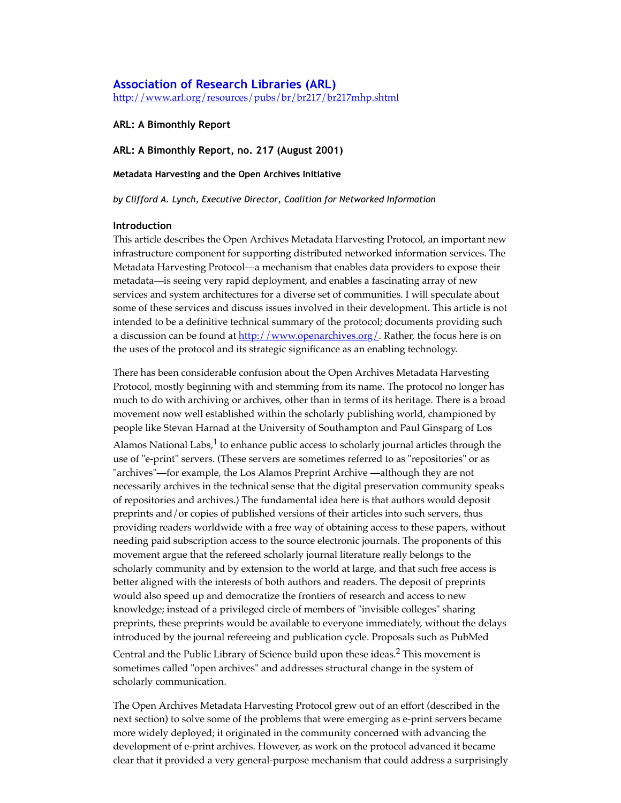# **[Association of Research Libraries \(ARL\)](https://web.archive.org/web/20120515233620/http://www.arl.org/index.shtml)** [http://www.arl.org/resources/pubs/br/br217/br217mhp.shtml](https://web.archive.org/web/20120515233620/http://www.arl.org/resources/pubs/br/br217/br217mhp.shtml)

**ARL: A Bimonthly Report**

**ARL: A Bimonthly Report, no. 217 (August 2001)**

**Metadata Harvesting and the Open Archives Initiative**

*by Clifford A. Lynch, Executive Director, Coalition for Networked Information*

### **Introduction**

This article describes the Open Archives Metadata Harvesting Protocol, an important new infrastructure component for supporting distributed networked information services. The Metadata Harvesting Protocol—a mechanism that enables data providers to expose their metadata—is seeing very rapid deployment, and enables a fascinating array of new services and system architectures for a diverse set of communities. I will speculate about some of these services and discuss issues involved in their development. This article is not intended to be a definitive technical summary of the protocol; documents providing such a discussion can be found at [http://www.openarchives.org/](https://web.archive.org/web/20120515233620/http://www.openarchives.org/). Rather, the focus here is on the uses of the protocol and its strategic significance as an enabling technology.

There has been considerable confusion about the Open Archives Metadata Harvesting Protocol, mostly beginning with and stemming from its name. The protocol no longer has much to do with archiving or archives, other than in terms of its heritage. There is a broad movement now well established within the scholarly publishing world, championed by people like Stevan Harnad at the University of Southampton and Paul Ginsparg of Los

Alamos National Labs, $1$  to enhance public access to scholarly journal articles through the use of "e-print" servers. (These servers are sometimes referred to as "repositories" or as "archives"—for example, the Los Alamos Preprint Archive —although they are not necessarily archives in the technical sense that the digital preservation community speaks of repositories and archives.) The fundamental idea here is that authors would deposit preprints and/or copies of published versions of their articles into such servers, thus providing readers worldwide with a free way of obtaining access to these papers, without needing paid subscription access to the source electronic journals. The proponents of this movement argue that the refereed scholarly journal literature really belongs to the scholarly community and by extension to the world at large, and that such free access is better aligned with the interests of both authors and readers. The deposit of preprints would also speed up and democratize the frontiers of research and access to new knowledge; instead of a privileged circle of members of "invisible colleges" sharing preprints, these preprints would be available to everyone immediately, without the delays introduced by the journal refereeing and publication cycle. Proposals such as PubMed

Central and the Public Library of Science build upon these ideas.<sup>2</sup> This movement is sometimes called "open archives" and addresses structural change in the system of scholarly communication.

The Open Archives Metadata Harvesting Protocol grew out of an effort (described in the next section) to solve some of the problems that were emerging as e-print servers became more widely deployed; it originated in the community concerned with advancing the development of e-print archives. However, as work on the protocol advanced it became clear that it provided a very general-purpose mechanism that could address a surprisingly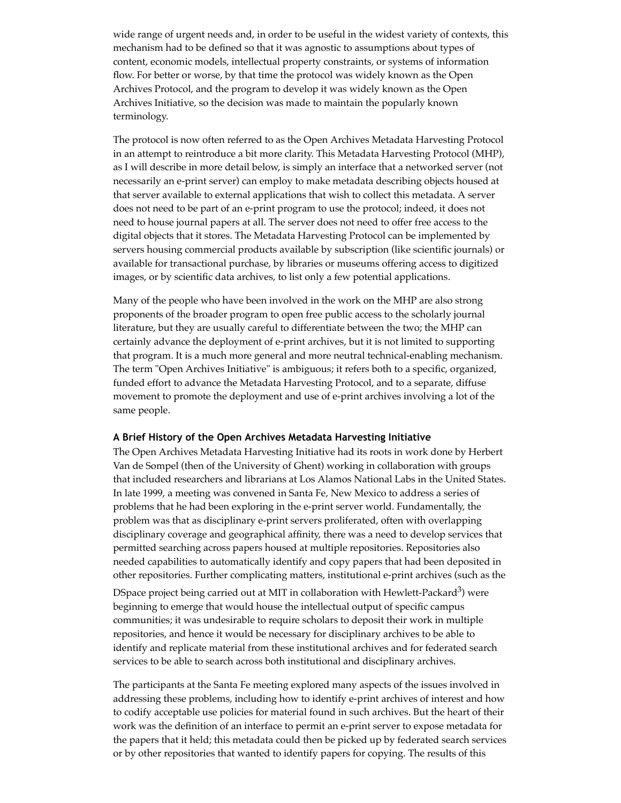wide range of urgent needs and, in order to be useful in the widest variety of contexts, this mechanism had to be defined so that it was agnostic to assumptions about types of content, economic models, intellectual property constraints, or systems of information flow. For better or worse, by that time the protocol was widely known as the Open Archives Protocol, and the program to develop it was widely known as the Open Archives Initiative, so the decision was made to maintain the popularly known terminology.

The protocol is now often referred to as the Open Archives Metadata Harvesting Protocol in an attempt to reintroduce a bit more clarity. This Metadata Harvesting Protocol (MHP), as I will describe in more detail below, is simply an interface that a networked server (not necessarily an e-print server) can employ to make metadata describing objects housed at that server available to external applications that wish to collect this metadata. A server does not need to be part of an e-print program to use the protocol; indeed, it does not need to house journal papers at all. The server does not need to offer free access to the digital objects that it stores. The Metadata Harvesting Protocol can be implemented by servers housing commercial products available by subscription (like scientific journals) or available for transactional purchase, by libraries or museums offering access to digitized images, or by scientific data archives, to list only a few potential applications.

Many of the people who have been involved in the work on the MHP are also strong proponents of the broader program to open free public access to the scholarly journal literature, but they are usually careful to differentiate between the two; the MHP can certainly advance the deployment of e-print archives, but it is not limited to supporting that program. It is a much more general and more neutral technical-enabling mechanism. The term "Open Archives Initiative" is ambiguous; it refers both to a specific, organized, funded effort to advance the Metadata Harvesting Protocol, and to a separate, diffuse movement to promote the deployment and use of e-print archives involving a lot of the same people.

### **A Brief History of the Open Archives Metadata Harvesting Initiative**

The Open Archives Metadata Harvesting Initiative had its roots in work done by Herbert Van de Sompel (then of the University of Ghent) working in collaboration with groups that included researchers and librarians at Los Alamos National Labs in the United States. In late 1999, a meeting was convened in Santa Fe, New Mexico to address a series of problems that he had been exploring in the e-print server world. Fundamentally, the problem was that as disciplinary e-print servers proliferated, often with overlapping disciplinary coverage and geographical affinity, there was a need to develop services that permitted searching across papers housed at multiple repositories. Repositories also needed capabilities to automatically identify and copy papers that had been deposited in other repositories. Further complicating matters, institutional e-print archives (such as the

DSpace project being carried out at MIT in collaboration with Hewlett-Packard $^3$ ) were beginning to emerge that would house the intellectual output of specific campus communities; it was undesirable to require scholars to deposit their work in multiple repositories, and hence it would be necessary for disciplinary archives to be able to identify and replicate material from these institutional archives and for federated search services to be able to search across both institutional and disciplinary archives.

The participants at the Santa Fe meeting explored many aspects of the issues involved in addressing these problems, including how to identify e-print archives of interest and how to codify acceptable use policies for material found in such archives. But the heart of their work was the definition of an interface to permit an e-print server to expose metadata for the papers that it held; this metadata could then be picked up by federated search services or by other repositories that wanted to identify papers for copying. The results of this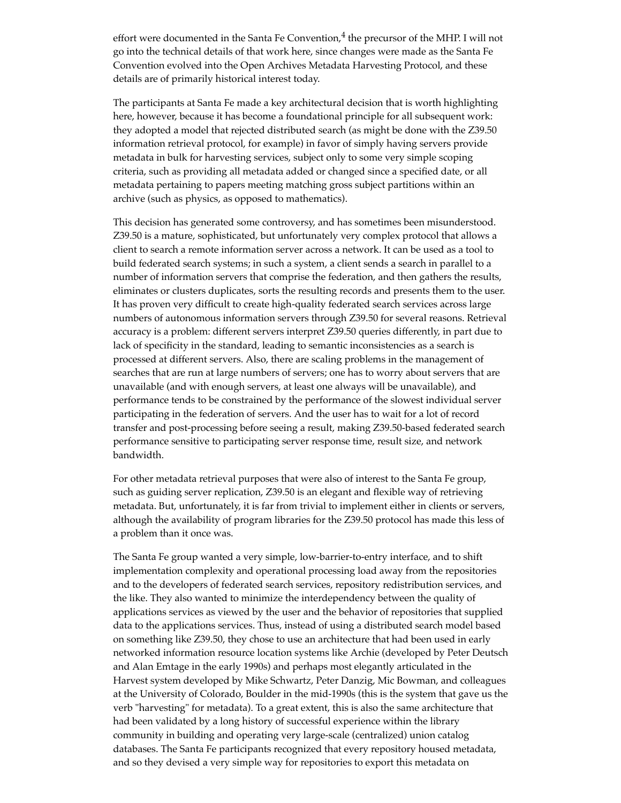effort were documented in the Santa Fe Convention, $^4$  the precursor of the MHP. I will not go into the technical details of that work here, since changes were made as the Santa Fe Convention evolved into the Open Archives Metadata Harvesting Protocol, and these details are of primarily historical interest today.

The participants at Santa Fe made a key architectural decision that is worth highlighting here, however, because it has become a foundational principle for all subsequent work: they adopted a model that rejected distributed search (as might be done with the Z39.50 information retrieval protocol, for example) in favor of simply having servers provide metadata in bulk for harvesting services, subject only to some very simple scoping criteria, such as providing all metadata added or changed since a specified date, or all metadata pertaining to papers meeting matching gross subject partitions within an archive (such as physics, as opposed to mathematics).

This decision has generated some controversy, and has sometimes been misunderstood. Z39.50 is a mature, sophisticated, but unfortunately very complex protocol that allows a client to search a remote information server across a network. It can be used as a tool to build federated search systems; in such a system, a client sends a search in parallel to a number of information servers that comprise the federation, and then gathers the results, eliminates or clusters duplicates, sorts the resulting records and presents them to the user. It has proven very difficult to create high-quality federated search services across large numbers of autonomous information servers through Z39.50 for several reasons. Retrieval accuracy is a problem: different servers interpret Z39.50 queries differently, in part due to lack of specificity in the standard, leading to semantic inconsistencies as a search is processed at different servers. Also, there are scaling problems in the management of searches that are run at large numbers of servers; one has to worry about servers that are unavailable (and with enough servers, at least one always will be unavailable), and performance tends to be constrained by the performance of the slowest individual server participating in the federation of servers. And the user has to wait for a lot of record transfer and post-processing before seeing a result, making Z39.50-based federated search performance sensitive to participating server response time, result size, and network bandwidth.

For other metadata retrieval purposes that were also of interest to the Santa Fe group, such as guiding server replication, Z39.50 is an elegant and flexible way of retrieving metadata. But, unfortunately, it is far from trivial to implement either in clients or servers, although the availability of program libraries for the Z39.50 protocol has made this less of a problem than it once was.

The Santa Fe group wanted a very simple, low-barrier-to-entry interface, and to shift implementation complexity and operational processing load away from the repositories and to the developers of federated search services, repository redistribution services, and the like. They also wanted to minimize the interdependency between the quality of applications services as viewed by the user and the behavior of repositories that supplied data to the applications services. Thus, instead of using a distributed search model based on something like Z39.50, they chose to use an architecture that had been used in early networked information resource location systems like Archie (developed by Peter Deutsch and Alan Emtage in the early 1990s) and perhaps most elegantly articulated in the Harvest system developed by Mike Schwartz, Peter Danzig, Mic Bowman, and colleagues at the University of Colorado, Boulder in the mid-1990s (this is the system that gave us the verb "harvesting" for metadata). To a great extent, this is also the same architecture that had been validated by a long history of successful experience within the library community in building and operating very large-scale (centralized) union catalog databases. The Santa Fe participants recognized that every repository housed metadata, and so they devised a very simple way for repositories to export this metadata on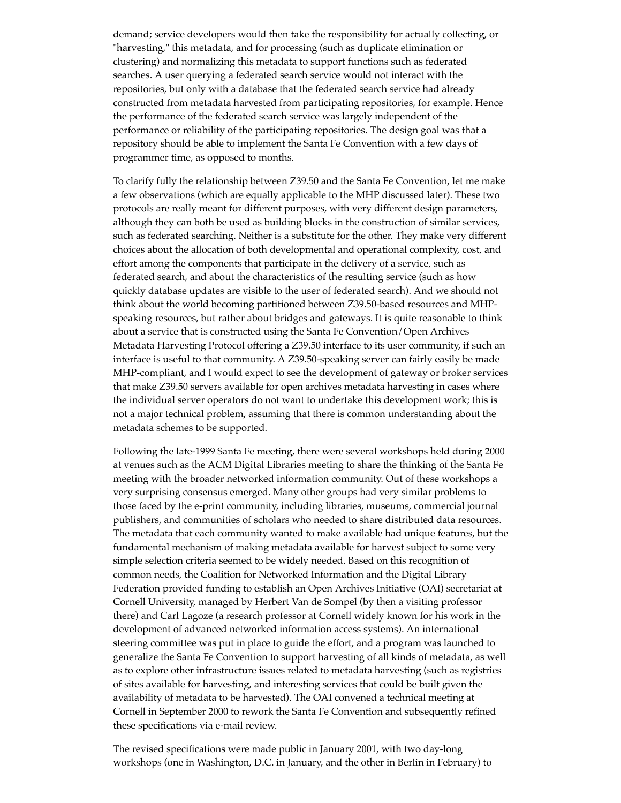demand; service developers would then take the responsibility for actually collecting, or "harvesting," this metadata, and for processing (such as duplicate elimination or clustering) and normalizing this metadata to support functions such as federated searches. A user querying a federated search service would not interact with the repositories, but only with a database that the federated search service had already constructed from metadata harvested from participating repositories, for example. Hence the performance of the federated search service was largely independent of the performance or reliability of the participating repositories. The design goal was that a repository should be able to implement the Santa Fe Convention with a few days of programmer time, as opposed to months.

To clarify fully the relationship between Z39.50 and the Santa Fe Convention, let me make a few observations (which are equally applicable to the MHP discussed later). These two protocols are really meant for different purposes, with very different design parameters, although they can both be used as building blocks in the construction of similar services, such as federated searching. Neither is a substitute for the other. They make very different choices about the allocation of both developmental and operational complexity, cost, and effort among the components that participate in the delivery of a service, such as federated search, and about the characteristics of the resulting service (such as how quickly database updates are visible to the user of federated search). And we should not think about the world becoming partitioned between Z39.50-based resources and MHPspeaking resources, but rather about bridges and gateways. It is quite reasonable to think about a service that is constructed using the Santa Fe Convention/Open Archives Metadata Harvesting Protocol offering a Z39.50 interface to its user community, if such an interface is useful to that community. A Z39.50-speaking server can fairly easily be made MHP-compliant, and I would expect to see the development of gateway or broker services that make Z39.50 servers available for open archives metadata harvesting in cases where the individual server operators do not want to undertake this development work; this is not a major technical problem, assuming that there is common understanding about the metadata schemes to be supported.

Following the late-1999 Santa Fe meeting, there were several workshops held during 2000 at venues such as the ACM Digital Libraries meeting to share the thinking of the Santa Fe meeting with the broader networked information community. Out of these workshops a very surprising consensus emerged. Many other groups had very similar problems to those faced by the e-print community, including libraries, museums, commercial journal publishers, and communities of scholars who needed to share distributed data resources. The metadata that each community wanted to make available had unique features, but the fundamental mechanism of making metadata available for harvest subject to some very simple selection criteria seemed to be widely needed. Based on this recognition of common needs, the Coalition for Networked Information and the Digital Library Federation provided funding to establish an Open Archives Initiative (OAI) secretariat at Cornell University, managed by Herbert Van de Sompel (by then a visiting professor there) and Carl Lagoze (a research professor at Cornell widely known for his work in the development of advanced networked information access systems). An international steering committee was put in place to guide the effort, and a program was launched to generalize the Santa Fe Convention to support harvesting of all kinds of metadata, as well as to explore other infrastructure issues related to metadata harvesting (such as registries of sites available for harvesting, and interesting services that could be built given the availability of metadata to be harvested). The OAI convened a technical meeting at Cornell in September 2000 to rework the Santa Fe Convention and subsequently refined these specifications via e-mail review.

The revised specifications were made public in January 2001, with two day-long workshops (one in Washington, D.C. in January, and the other in Berlin in February) to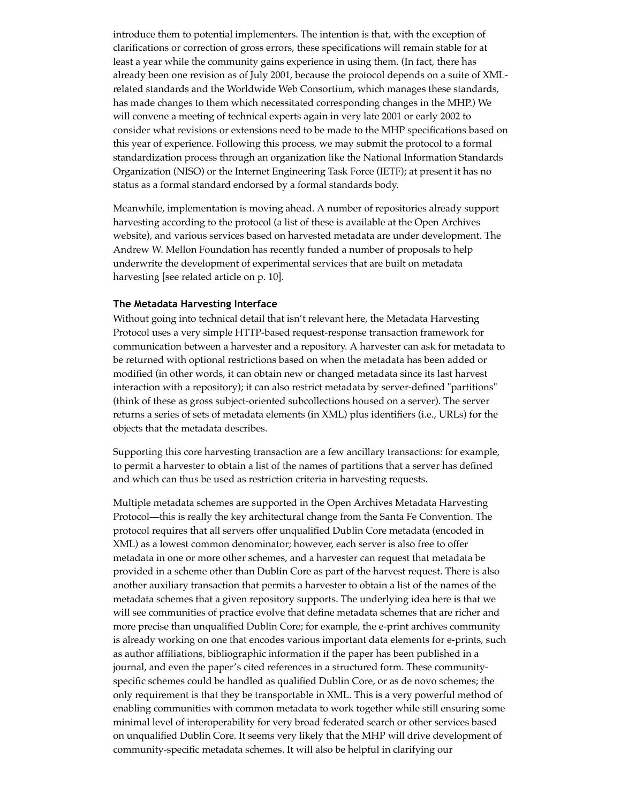introduce them to potential implementers. The intention is that, with the exception of clarifications or correction of gross errors, these specifications will remain stable for at least a year while the community gains experience in using them. (In fact, there has already been one revision as of July 2001, because the protocol depends on a suite of XMLrelated standards and the Worldwide Web Consortium, which manages these standards, has made changes to them which necessitated corresponding changes in the MHP.) We will convene a meeting of technical experts again in very late 2001 or early 2002 to consider what revisions or extensions need to be made to the MHP specifications based on this year of experience. Following this process, we may submit the protocol to a formal standardization process through an organization like the National Information Standards Organization (NISO) or the Internet Engineering Task Force (IETF); at present it has no status as a formal standard endorsed by a formal standards body.

Meanwhile, implementation is moving ahead. A number of repositories already support harvesting according to the protocol (a list of these is available at the Open Archives website), and various services based on harvested metadata are under development. The Andrew W. Mellon Foundation has recently funded a number of proposals to help underwrite the development of experimental services that are built on metadata harvesting [see related article on p. 10].

### **The Metadata Harvesting Interface**

Without going into technical detail that isn't relevant here, the Metadata Harvesting Protocol uses a very simple HTTP-based request-response transaction framework for communication between a harvester and a repository. A harvester can ask for metadata to be returned with optional restrictions based on when the metadata has been added or modified (in other words, it can obtain new or changed metadata since its last harvest interaction with a repository); it can also restrict metadata by server-defined "partitions" (think of these as gross subject-oriented subcollections housed on a server). The server returns a series of sets of metadata elements (in XML) plus identifiers (i.e., URLs) for the objects that the metadata describes.

Supporting this core harvesting transaction are a few ancillary transactions: for example, to permit a harvester to obtain a list of the names of partitions that a server has defined and which can thus be used as restriction criteria in harvesting requests.

Multiple metadata schemes are supported in the Open Archives Metadata Harvesting Protocol—this is really the key architectural change from the Santa Fe Convention. The protocol requires that all servers offer unqualified Dublin Core metadata (encoded in XML) as a lowest common denominator; however, each server is also free to offer metadata in one or more other schemes, and a harvester can request that metadata be provided in a scheme other than Dublin Core as part of the harvest request. There is also another auxiliary transaction that permits a harvester to obtain a list of the names of the metadata schemes that a given repository supports. The underlying idea here is that we will see communities of practice evolve that define metadata schemes that are richer and more precise than unqualified Dublin Core; for example, the e-print archives community is already working on one that encodes various important data elements for e-prints, such as author affiliations, bibliographic information if the paper has been published in a journal, and even the paper's cited references in a structured form. These communityspecific schemes could be handled as qualified Dublin Core, or as de novo schemes; the only requirement is that they be transportable in XML. This is a very powerful method of enabling communities with common metadata to work together while still ensuring some minimal level of interoperability for very broad federated search or other services based on unqualified Dublin Core. It seems very likely that the MHP will drive development of community-specific metadata schemes. It will also be helpful in clarifying our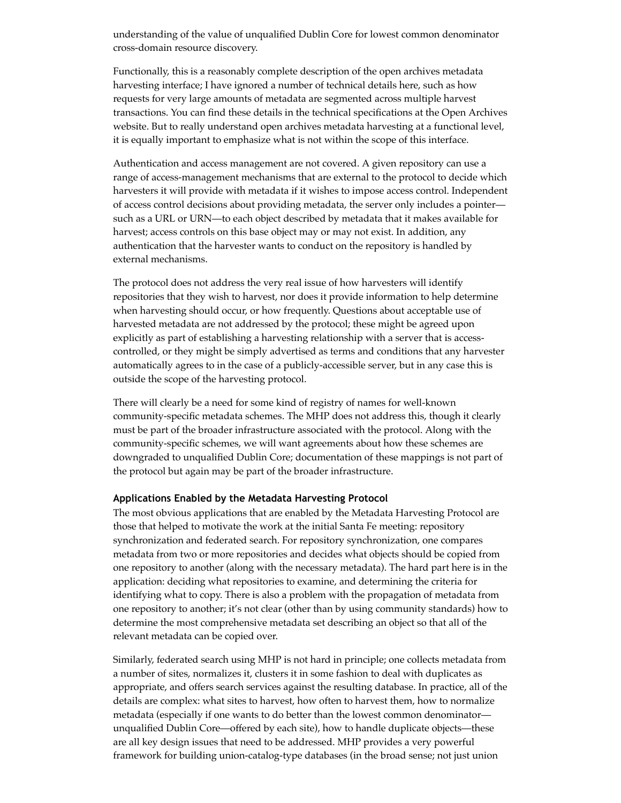understanding of the value of unqualified Dublin Core for lowest common denominator cross-domain resource discovery.

Functionally, this is a reasonably complete description of the open archives metadata harvesting interface; I have ignored a number of technical details here, such as how requests for very large amounts of metadata are segmented across multiple harvest transactions. You can find these details in the technical specifications at the Open Archives website. But to really understand open archives metadata harvesting at a functional level, it is equally important to emphasize what is not within the scope of this interface.

Authentication and access management are not covered. A given repository can use a range of access-management mechanisms that are external to the protocol to decide which harvesters it will provide with metadata if it wishes to impose access control. Independent of access control decisions about providing metadata, the server only includes a pointer such as a URL or URN—to each object described by metadata that it makes available for harvest; access controls on this base object may or may not exist. In addition, any authentication that the harvester wants to conduct on the repository is handled by external mechanisms.

The protocol does not address the very real issue of how harvesters will identify repositories that they wish to harvest, nor does it provide information to help determine when harvesting should occur, or how frequently. Questions about acceptable use of harvested metadata are not addressed by the protocol; these might be agreed upon explicitly as part of establishing a harvesting relationship with a server that is accesscontrolled, or they might be simply advertised as terms and conditions that any harvester automatically agrees to in the case of a publicly-accessible server, but in any case this is outside the scope of the harvesting protocol.

There will clearly be a need for some kind of registry of names for well-known community-specific metadata schemes. The MHP does not address this, though it clearly must be part of the broader infrastructure associated with the protocol. Along with the community-specific schemes, we will want agreements about how these schemes are downgraded to unqualified Dublin Core; documentation of these mappings is not part of the protocol but again may be part of the broader infrastructure.

#### **Applications Enabled by the Metadata Harvesting Protocol**

The most obvious applications that are enabled by the Metadata Harvesting Protocol are those that helped to motivate the work at the initial Santa Fe meeting: repository synchronization and federated search. For repository synchronization, one compares metadata from two or more repositories and decides what objects should be copied from one repository to another (along with the necessary metadata). The hard part here is in the application: deciding what repositories to examine, and determining the criteria for identifying what to copy. There is also a problem with the propagation of metadata from one repository to another; it's not clear (other than by using community standards) how to determine the most comprehensive metadata set describing an object so that all of the relevant metadata can be copied over.

Similarly, federated search using MHP is not hard in principle; one collects metadata from a number of sites, normalizes it, clusters it in some fashion to deal with duplicates as appropriate, and offers search services against the resulting database. In practice, all of the details are complex: what sites to harvest, how often to harvest them, how to normalize metadata (especially if one wants to do better than the lowest common denominator unqualified Dublin Core—offered by each site), how to handle duplicate objects—these are all key design issues that need to be addressed. MHP provides a very powerful framework for building union-catalog-type databases (in the broad sense; not just union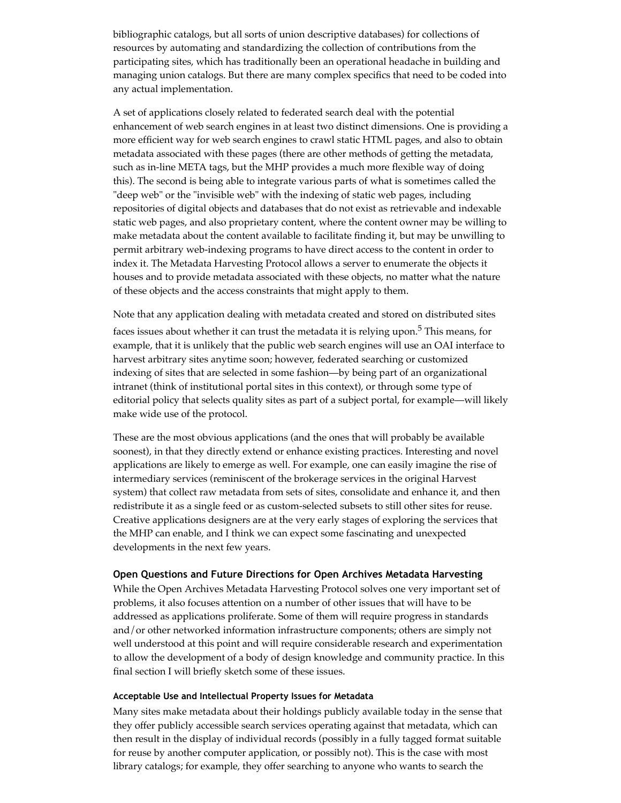bibliographic catalogs, but all sorts of union descriptive databases) for collections of resources by automating and standardizing the collection of contributions from the participating sites, which has traditionally been an operational headache in building and managing union catalogs. But there are many complex specifics that need to be coded into any actual implementation.

A set of applications closely related to federated search deal with the potential enhancement of web search engines in at least two distinct dimensions. One is providing a more efficient way for web search engines to crawl static HTML pages, and also to obtain metadata associated with these pages (there are other methods of getting the metadata, such as in-line META tags, but the MHP provides a much more flexible way of doing this). The second is being able to integrate various parts of what is sometimes called the "deep web" or the "invisible web" with the indexing of static web pages, including repositories of digital objects and databases that do not exist as retrievable and indexable static web pages, and also proprietary content, where the content owner may be willing to make metadata about the content available to facilitate finding it, but may be unwilling to permit arbitrary web-indexing programs to have direct access to the content in order to index it. The Metadata Harvesting Protocol allows a server to enumerate the objects it houses and to provide metadata associated with these objects, no matter what the nature of these objects and the access constraints that might apply to them.

Note that any application dealing with metadata created and stored on distributed sites

faces issues about whether it can trust the metadata it is relying upon.<sup>5</sup> This means, for example, that it is unlikely that the public web search engines will use an OAI interface to harvest arbitrary sites anytime soon; however, federated searching or customized indexing of sites that are selected in some fashion—by being part of an organizational intranet (think of institutional portal sites in this context), or through some type of editorial policy that selects quality sites as part of a subject portal, for example—will likely make wide use of the protocol.

These are the most obvious applications (and the ones that will probably be available soonest), in that they directly extend or enhance existing practices. Interesting and novel applications are likely to emerge as well. For example, one can easily imagine the rise of intermediary services (reminiscent of the brokerage services in the original Harvest system) that collect raw metadata from sets of sites, consolidate and enhance it, and then redistribute it as a single feed or as custom-selected subsets to still other sites for reuse. Creative applications designers are at the very early stages of exploring the services that the MHP can enable, and I think we can expect some fascinating and unexpected developments in the next few years.

### **Open Questions and Future Directions for Open Archives Metadata Harvesting**

While the Open Archives Metadata Harvesting Protocol solves one very important set of problems, it also focuses attention on a number of other issues that will have to be addressed as applications proliferate. Some of them will require progress in standards and/or other networked information infrastructure components; others are simply not well understood at this point and will require considerable research and experimentation to allow the development of a body of design knowledge and community practice. In this final section I will briefly sketch some of these issues.

### **Acceptable Use and Intellectual Property Issues for Metadata**

Many sites make metadata about their holdings publicly available today in the sense that they offer publicly accessible search services operating against that metadata, which can then result in the display of individual records (possibly in a fully tagged format suitable for reuse by another computer application, or possibly not). This is the case with most library catalogs; for example, they offer searching to anyone who wants to search the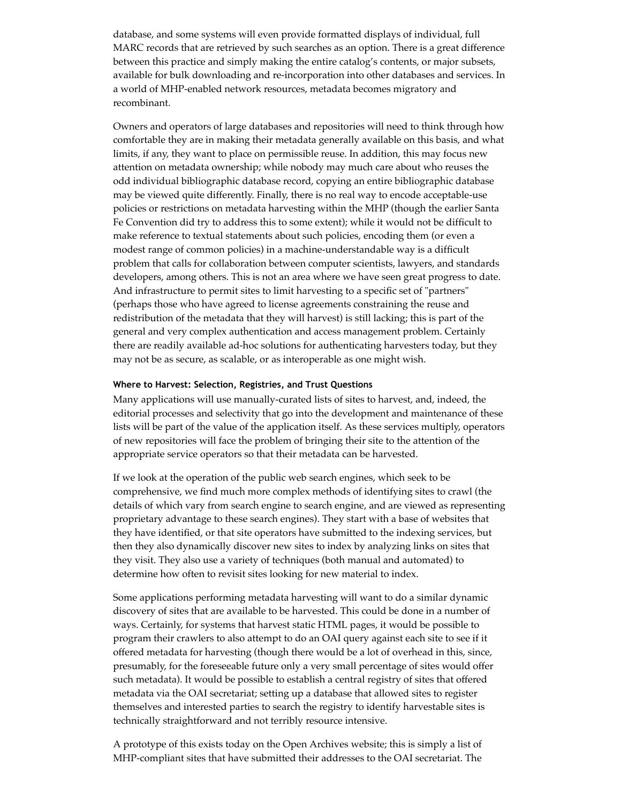database, and some systems will even provide formatted displays of individual, full MARC records that are retrieved by such searches as an option. There is a great difference between this practice and simply making the entire catalog's contents, or major subsets, available for bulk downloading and re-incorporation into other databases and services. In a world of MHP-enabled network resources, metadata becomes migratory and recombinant.

Owners and operators of large databases and repositories will need to think through how comfortable they are in making their metadata generally available on this basis, and what limits, if any, they want to place on permissible reuse. In addition, this may focus new attention on metadata ownership; while nobody may much care about who reuses the odd individual bibliographic database record, copying an entire bibliographic database may be viewed quite differently. Finally, there is no real way to encode acceptable-use policies or restrictions on metadata harvesting within the MHP (though the earlier Santa Fe Convention did try to address this to some extent); while it would not be difficult to make reference to textual statements about such policies, encoding them (or even a modest range of common policies) in a machine-understandable way is a difficult problem that calls for collaboration between computer scientists, lawyers, and standards developers, among others. This is not an area where we have seen great progress to date. And infrastructure to permit sites to limit harvesting to a specific set of "partners" (perhaps those who have agreed to license agreements constraining the reuse and redistribution of the metadata that they will harvest) is still lacking; this is part of the general and very complex authentication and access management problem. Certainly there are readily available ad-hoc solutions for authenticating harvesters today, but they may not be as secure, as scalable, or as interoperable as one might wish.

### **Where to Harvest: Selection, Registries, and Trust Questions**

Many applications will use manually-curated lists of sites to harvest, and, indeed, the editorial processes and selectivity that go into the development and maintenance of these lists will be part of the value of the application itself. As these services multiply, operators of new repositories will face the problem of bringing their site to the attention of the appropriate service operators so that their metadata can be harvested.

If we look at the operation of the public web search engines, which seek to be comprehensive, we find much more complex methods of identifying sites to crawl (the details of which vary from search engine to search engine, and are viewed as representing proprietary advantage to these search engines). They start with a base of websites that they have identified, or that site operators have submitted to the indexing services, but then they also dynamically discover new sites to index by analyzing links on sites that they visit. They also use a variety of techniques (both manual and automated) to determine how often to revisit sites looking for new material to index.

Some applications performing metadata harvesting will want to do a similar dynamic discovery of sites that are available to be harvested. This could be done in a number of ways. Certainly, for systems that harvest static HTML pages, it would be possible to program their crawlers to also attempt to do an OAI query against each site to see if it offered metadata for harvesting (though there would be a lot of overhead in this, since, presumably, for the foreseeable future only a very small percentage of sites would offer such metadata). It would be possible to establish a central registry of sites that offered metadata via the OAI secretariat; setting up a database that allowed sites to register themselves and interested parties to search the registry to identify harvestable sites is technically straightforward and not terribly resource intensive.

A prototype of this exists today on the Open Archives website; this is simply a list of MHP-compliant sites that have submitted their addresses to the OAI secretariat. The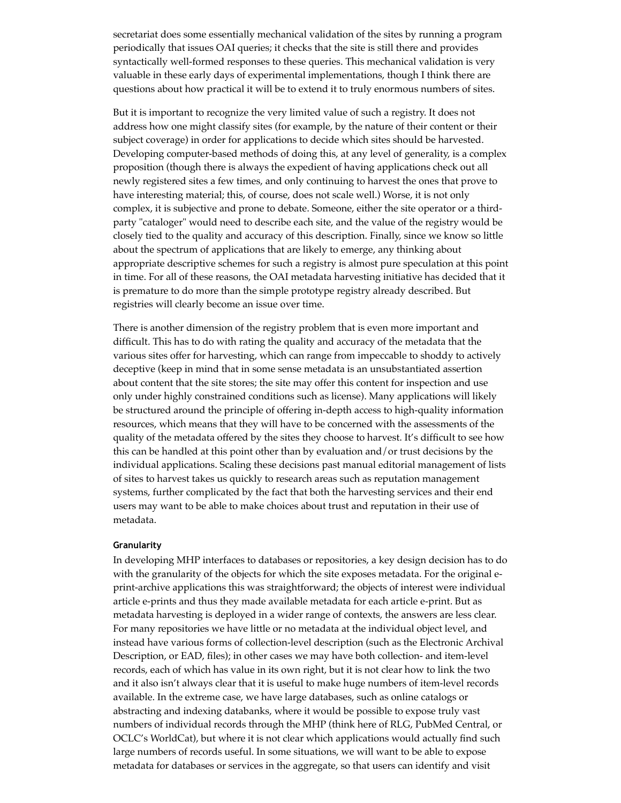secretariat does some essentially mechanical validation of the sites by running a program periodically that issues OAI queries; it checks that the site is still there and provides syntactically well-formed responses to these queries. This mechanical validation is very valuable in these early days of experimental implementations, though I think there are questions about how practical it will be to extend it to truly enormous numbers of sites.

But it is important to recognize the very limited value of such a registry. It does not address how one might classify sites (for example, by the nature of their content or their subject coverage) in order for applications to decide which sites should be harvested. Developing computer-based methods of doing this, at any level of generality, is a complex proposition (though there is always the expedient of having applications check out all newly registered sites a few times, and only continuing to harvest the ones that prove to have interesting material; this, of course, does not scale well.) Worse, it is not only complex, it is subjective and prone to debate. Someone, either the site operator or a thirdparty "cataloger" would need to describe each site, and the value of the registry would be closely tied to the quality and accuracy of this description. Finally, since we know so little about the spectrum of applications that are likely to emerge, any thinking about appropriate descriptive schemes for such a registry is almost pure speculation at this point in time. For all of these reasons, the OAI metadata harvesting initiative has decided that it is premature to do more than the simple prototype registry already described. But registries will clearly become an issue over time.

There is another dimension of the registry problem that is even more important and difficult. This has to do with rating the quality and accuracy of the metadata that the various sites offer for harvesting, which can range from impeccable to shoddy to actively deceptive (keep in mind that in some sense metadata is an unsubstantiated assertion about content that the site stores; the site may offer this content for inspection and use only under highly constrained conditions such as license). Many applications will likely be structured around the principle of offering in-depth access to high-quality information resources, which means that they will have to be concerned with the assessments of the quality of the metadata offered by the sites they choose to harvest. It's difficult to see how this can be handled at this point other than by evaluation and/or trust decisions by the individual applications. Scaling these decisions past manual editorial management of lists of sites to harvest takes us quickly to research areas such as reputation management systems, further complicated by the fact that both the harvesting services and their end users may want to be able to make choices about trust and reputation in their use of metadata.

### **Granularity**

In developing MHP interfaces to databases or repositories, a key design decision has to do with the granularity of the objects for which the site exposes metadata. For the original eprint-archive applications this was straightforward; the objects of interest were individual article e-prints and thus they made available metadata for each article e-print. But as metadata harvesting is deployed in a wider range of contexts, the answers are less clear. For many repositories we have little or no metadata at the individual object level, and instead have various forms of collection-level description (such as the Electronic Archival Description, or EAD, files); in other cases we may have both collection- and item-level records, each of which has value in its own right, but it is not clear how to link the two and it also isn't always clear that it is useful to make huge numbers of item-level records available. In the extreme case, we have large databases, such as online catalogs or abstracting and indexing databanks, where it would be possible to expose truly vast numbers of individual records through the MHP (think here of RLG, PubMed Central, or OCLC's WorldCat), but where it is not clear which applications would actually find such large numbers of records useful. In some situations, we will want to be able to expose metadata for databases or services in the aggregate, so that users can identify and visit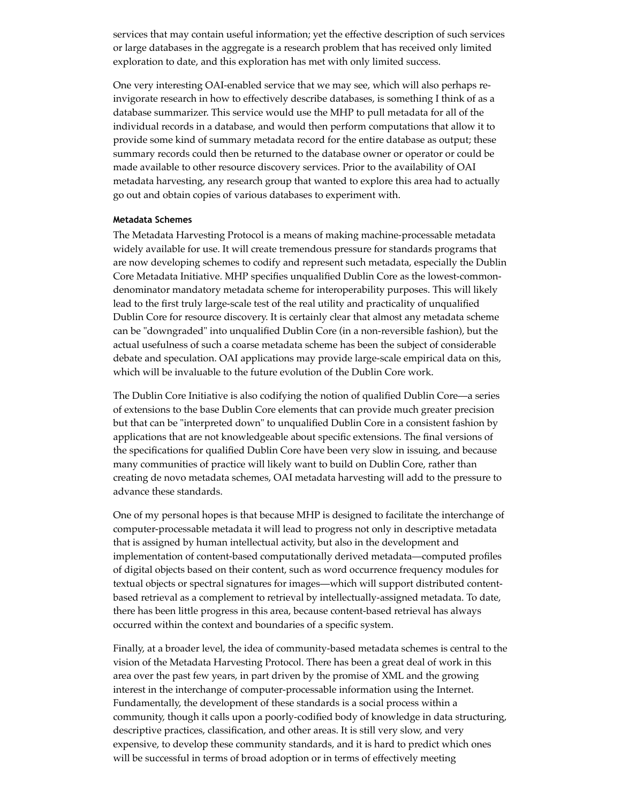services that may contain useful information; yet the effective description of such services or large databases in the aggregate is a research problem that has received only limited exploration to date, and this exploration has met with only limited success.

One very interesting OAI-enabled service that we may see, which will also perhaps reinvigorate research in how to effectively describe databases, is something I think of as a database summarizer. This service would use the MHP to pull metadata for all of the individual records in a database, and would then perform computations that allow it to provide some kind of summary metadata record for the entire database as output; these summary records could then be returned to the database owner or operator or could be made available to other resource discovery services. Prior to the availability of OAI metadata harvesting, any research group that wanted to explore this area had to actually go out and obtain copies of various databases to experiment with.

#### **Metadata Schemes**

The Metadata Harvesting Protocol is a means of making machine-processable metadata widely available for use. It will create tremendous pressure for standards programs that are now developing schemes to codify and represent such metadata, especially the Dublin Core Metadata Initiative. MHP specifies unqualified Dublin Core as the lowest-commondenominator mandatory metadata scheme for interoperability purposes. This will likely lead to the first truly large-scale test of the real utility and practicality of unqualified Dublin Core for resource discovery. It is certainly clear that almost any metadata scheme can be "downgraded" into unqualified Dublin Core (in a non-reversible fashion), but the actual usefulness of such a coarse metadata scheme has been the subject of considerable debate and speculation. OAI applications may provide large-scale empirical data on this, which will be invaluable to the future evolution of the Dublin Core work.

The Dublin Core Initiative is also codifying the notion of qualified Dublin Core—a series of extensions to the base Dublin Core elements that can provide much greater precision but that can be "interpreted down" to unqualified Dublin Core in a consistent fashion by applications that are not knowledgeable about specific extensions. The final versions of the specifications for qualified Dublin Core have been very slow in issuing, and because many communities of practice will likely want to build on Dublin Core, rather than creating de novo metadata schemes, OAI metadata harvesting will add to the pressure to advance these standards.

One of my personal hopes is that because MHP is designed to facilitate the interchange of computer-processable metadata it will lead to progress not only in descriptive metadata that is assigned by human intellectual activity, but also in the development and implementation of content-based computationally derived metadata—computed profiles of digital objects based on their content, such as word occurrence frequency modules for textual objects or spectral signatures for images—which will support distributed contentbased retrieval as a complement to retrieval by intellectually-assigned metadata. To date, there has been little progress in this area, because content-based retrieval has always occurred within the context and boundaries of a specific system.

Finally, at a broader level, the idea of community-based metadata schemes is central to the vision of the Metadata Harvesting Protocol. There has been a great deal of work in this area over the past few years, in part driven by the promise of XML and the growing interest in the interchange of computer-processable information using the Internet. Fundamentally, the development of these standards is a social process within a community, though it calls upon a poorly-codified body of knowledge in data structuring, descriptive practices, classification, and other areas. It is still very slow, and very expensive, to develop these community standards, and it is hard to predict which ones will be successful in terms of broad adoption or in terms of effectively meeting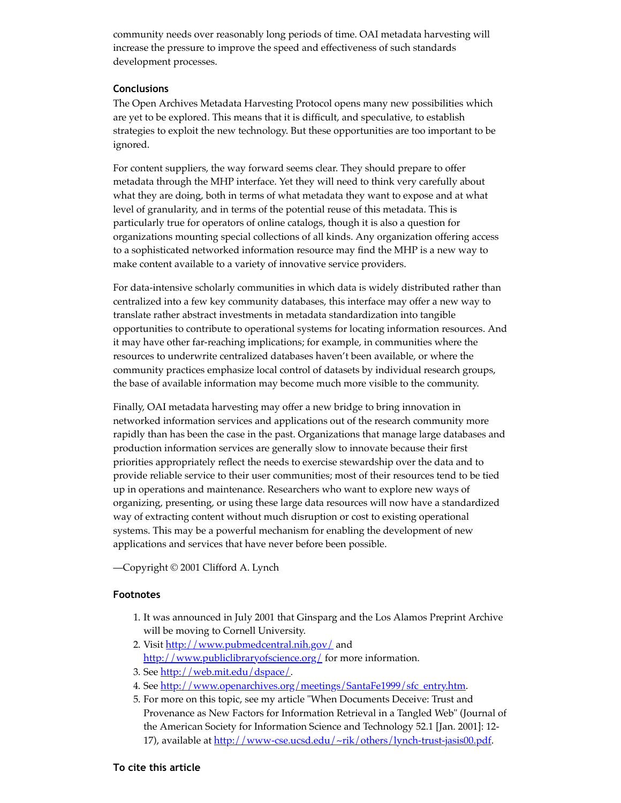community needs over reasonably long periods of time. OAI metadata harvesting will increase the pressure to improve the speed and effectiveness of such standards development processes.

## **Conclusions**

The Open Archives Metadata Harvesting Protocol opens many new possibilities which are yet to be explored. This means that it is difficult, and speculative, to establish strategies to exploit the new technology. But these opportunities are too important to be ignored.

For content suppliers, the way forward seems clear. They should prepare to offer metadata through the MHP interface. Yet they will need to think very carefully about what they are doing, both in terms of what metadata they want to expose and at what level of granularity, and in terms of the potential reuse of this metadata. This is particularly true for operators of online catalogs, though it is also a question for organizations mounting special collections of all kinds. Any organization offering access to a sophisticated networked information resource may find the MHP is a new way to make content available to a variety of innovative service providers.

For data-intensive scholarly communities in which data is widely distributed rather than centralized into a few key community databases, this interface may offer a new way to translate rather abstract investments in metadata standardization into tangible opportunities to contribute to operational systems for locating information resources. And it may have other far-reaching implications; for example, in communities where the resources to underwrite centralized databases haven't been available, or where the community practices emphasize local control of datasets by individual research groups, the base of available information may become much more visible to the community.

Finally, OAI metadata harvesting may offer a new bridge to bring innovation in networked information services and applications out of the research community more rapidly than has been the case in the past. Organizations that manage large databases and production information services are generally slow to innovate because their first priorities appropriately reflect the needs to exercise stewardship over the data and to provide reliable service to their user communities; most of their resources tend to be tied up in operations and maintenance. Researchers who want to explore new ways of organizing, presenting, or using these large data resources will now have a standardized way of extracting content without much disruption or cost to existing operational systems. This may be a powerful mechanism for enabling the development of new applications and services that have never before been possible.

—Copyright © 2001 Clifford A. Lynch

# **Footnotes**

- 1. It was announced in July 2001 that Ginsparg and the Los Alamos Preprint Archive will be moving to Cornell University.
- 2. Visit [http://www.pubmedcentral.nih.gov/](https://web.archive.org/web/20120515233620/http://www.pubmedcentral.nih.gov/) and [http://www.publiclibraryofscience.org/](https://web.archive.org/web/20120515233620/http://www.publiclibraryofscience.org/) for more information.
- 3. See [http://web.mit.edu/dspace/](https://web.archive.org/web/20120515233620/http://web.mit.edu/dspace/).
- 4. See [http://www.openarchives.org/meetings/SantaFe1999/sfc\\_entry.htm.](https://web.archive.org/web/20120515233620/http://www.openarchives.org/meetings/SantaFe1999/sfc_entry.htm)
- 5. For more on this topic, see my article "When Documents Deceive: Trust and Provenance as New Factors for Information Retrieval in a Tangled Web" (Journal of the American Society for Information Science and Technology 52.1 [Jan. 2001]: 12 17), available at [http://www-cse.ucsd.edu/~rik/others/lynch-trust-jasis00.pdf](https://web.archive.org/web/20120515233620/http://www-cse.ucsd.edu/~rik/others/lynch-trust-jasis00.pdf).